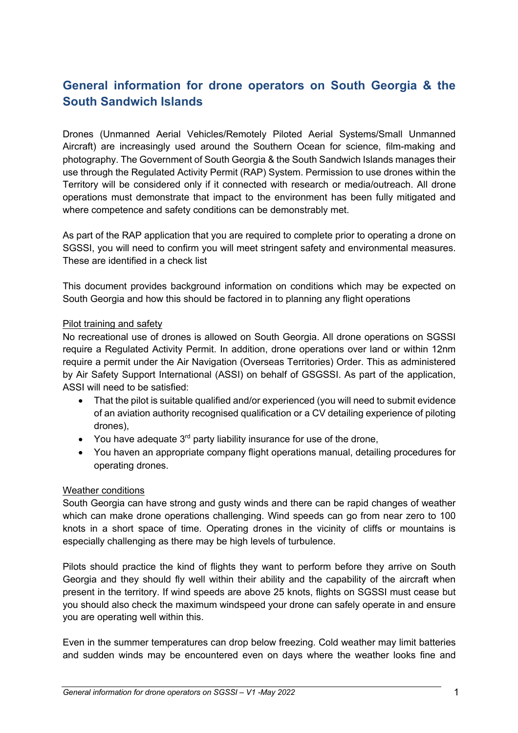# **General information for drone operators on South Georgia & the South Sandwich Islands**

Drones (Unmanned Aerial Vehicles/Remotely Piloted Aerial Systems/Small Unmanned Aircraft) are increasingly used around the Southern Ocean for science, film-making and photography. The Government of South Georgia & the South Sandwich Islands manages their use through the Regulated Activity Permit (RAP) System. Permission to use drones within the Territory will be considered only if it connected with research or media/outreach. All drone operations must demonstrate that impact to the environment has been fully mitigated and where competence and safety conditions can be demonstrably met.

As part of the RAP application that you are required to complete prior to operating a drone on SGSSI, you will need to confirm you will meet stringent safety and environmental measures. These are identified in a check list

This document provides background information on conditions which may be expected on South Georgia and how this should be factored in to planning any flight operations

# Pilot training and safety

No recreational use of drones is allowed on South Georgia. All drone operations on SGSSI require a Regulated Activity Permit. In addition, drone operations over land or within 12nm require a permit under the Air Navigation (Overseas Territories) Order. This as administered by Air Safety Support International (ASSI) on behalf of GSGSSI. As part of the application, ASSI will need to be satisfied:

- That the pilot is suitable qualified and/or experienced (you will need to submit evidence of an aviation authority recognised qualification or a CV detailing experience of piloting drones),
- You have adequate  $3<sup>rd</sup>$  party liability insurance for use of the drone.
- You haven an appropriate company flight operations manual, detailing procedures for operating drones.

# Weather conditions

South Georgia can have strong and gusty winds and there can be rapid changes of weather which can make drone operations challenging. Wind speeds can go from near zero to 100 knots in a short space of time. Operating drones in the vicinity of cliffs or mountains is especially challenging as there may be high levels of turbulence.

Pilots should practice the kind of flights they want to perform before they arrive on South Georgia and they should fly well within their ability and the capability of the aircraft when present in the territory. If wind speeds are above 25 knots, flights on SGSSI must cease but you should also check the maximum windspeed your drone can safely operate in and ensure you are operating well within this.

Even in the summer temperatures can drop below freezing. Cold weather may limit batteries and sudden winds may be encountered even on days where the weather looks fine and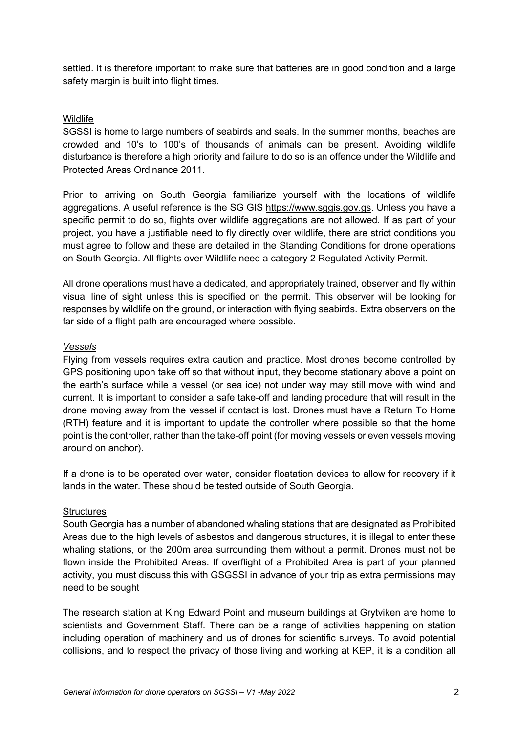settled. It is therefore important to make sure that batteries are in good condition and a large safety margin is built into flight times.

# **Wildlife**

SGSSI is home to large numbers of seabirds and seals. In the summer months, beaches are crowded and 10's to 100's of thousands of animals can be present. Avoiding wildlife disturbance is therefore a high priority and failure to do so is an offence under the Wildlife and Protected Areas Ordinance 2011.

Prior to arriving on South Georgia familiarize yourself with the locations of wildlife aggregations. A useful reference is the SG GIS https://www.sggis.gov.gs. Unless you have a specific permit to do so, flights over wildlife aggregations are not allowed. If as part of your project, you have a justifiable need to fly directly over wildlife, there are strict conditions you must agree to follow and these are detailed in the Standing Conditions for drone operations on South Georgia. All flights over Wildlife need a category 2 Regulated Activity Permit.

All drone operations must have a dedicated, and appropriately trained, observer and fly within visual line of sight unless this is specified on the permit. This observer will be looking for responses by wildlife on the ground, or interaction with flying seabirds. Extra observers on the far side of a flight path are encouraged where possible.

# *Vessels*

Flying from vessels requires extra caution and practice. Most drones become controlled by GPS positioning upon take off so that without input, they become stationary above a point on the earth's surface while a vessel (or sea ice) not under way may still move with wind and current. It is important to consider a safe take-off and landing procedure that will result in the drone moving away from the vessel if contact is lost. Drones must have a Return To Home (RTH) feature and it is important to update the controller where possible so that the home point is the controller, rather than the take-off point (for moving vessels or even vessels moving around on anchor).

If a drone is to be operated over water, consider floatation devices to allow for recovery if it lands in the water. These should be tested outside of South Georgia.

# **Structures**

South Georgia has a number of abandoned whaling stations that are designated as Prohibited Areas due to the high levels of asbestos and dangerous structures, it is illegal to enter these whaling stations, or the 200m area surrounding them without a permit. Drones must not be flown inside the Prohibited Areas. If overflight of a Prohibited Area is part of your planned activity, you must discuss this with GSGSSI in advance of your trip as extra permissions may need to be sought

The research station at King Edward Point and museum buildings at Grytviken are home to scientists and Government Staff. There can be a range of activities happening on station including operation of machinery and us of drones for scientific surveys. To avoid potential collisions, and to respect the privacy of those living and working at KEP, it is a condition all